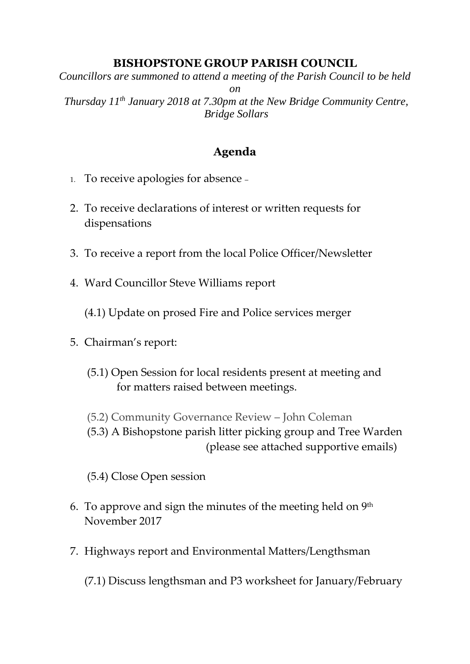## **BISHOPSTONE GROUP PARISH COUNCIL**

*Councillors are summoned to attend a meeting of the Parish Council to be held on Thursday 11th January 2018 at 7.30pm at the New Bridge Community Centre, Bridge Sollars*

## **Agenda**

- 1. To receive apologies for absence –
- 2. To receive declarations of interest or written requests for dispensations
- 3. To receive a report from the local Police Officer/Newsletter
- 4. Ward Councillor Steve Williams report

(4.1) Update on prosed Fire and Police services merger

- 5. Chairman's report:
	- (5.1) Open Session for local residents present at meeting and for matters raised between meetings.
	- (5.2) Community Governance Review John Coleman

(5.3) A Bishopstone parish litter picking group and Tree Warden (please see attached supportive emails)

(5.4) Close Open session

- 6. To approve and sign the minutes of the meeting held on  $9^{\text{th}}$ November 2017
- 7. Highways report and Environmental Matters/Lengthsman

(7.1) Discuss lengthsman and P3 worksheet for January/February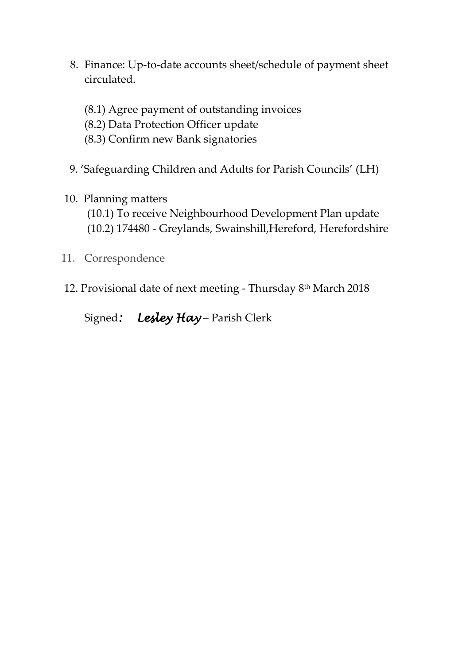- 8. Finance: Up-to-date accounts sheet/schedule of payment sheet circulated.
	- (8.1) Agree payment of outstanding invoices
	- (8.2) Data Protection Officer update
	- (8.3) Confirm new Bank signatories
- 9. 'Safeguarding Children and Adults for Parish Councils' (LH)
- 10. Planning matters
	- (10.1) To receive Neighbourhood Development Plan update (10.2) 174480 - Greylands, Swainshill,Hereford, Herefordshire
- 11. Correspondence
- 12. Provisional date of next meeting Thursday 8<sup>th</sup> March 2018
	- Signed*: Lesley Hay* Parish Clerk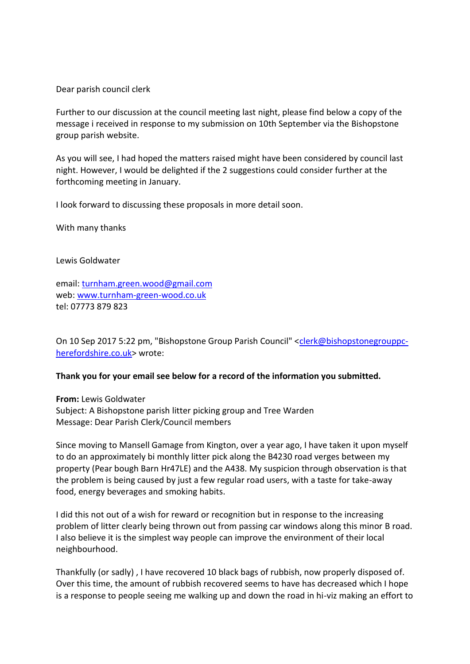Dear parish council clerk

Further to our discussion at the council meeting last night, please find below a copy of the message i received in response to my submission on 10th September via the Bishopstone group parish website.

As you will see, I had hoped the matters raised might have been considered by council last night. However, I would be delighted if the 2 suggestions could consider further at the forthcoming meeting in January.

I look forward to discussing these proposals in more detail soon.

With many thanks

Lewis Goldwater

email: [turnham.green.wood@gmail.com](mailto:turnham.green.wood@gmail.com) web: [www.turnham-green-wood.co.uk](http://www.turnham-green-wood.co.uk/) tel: 07773 879 823

On 10 Sep 2017 5:22 pm, "Bishopstone Group Parish Council" [<clerk@bishopstonegrouppc](mailto:clerk@bishopstonegrouppc-herefordshire.co.uk)[herefordshire.co.uk>](mailto:clerk@bishopstonegrouppc-herefordshire.co.uk) wrote:

## **Thank you for your email see below for a record of the information you submitted.**

**From:** Lewis Goldwater Subject: A Bishopstone parish litter picking group and Tree Warden Message: Dear Parish Clerk/Council members

Since moving to Mansell Gamage from Kington, over a year ago, I have taken it upon myself to do an approximately bi monthly litter pick along the B4230 road verges between my property (Pear bough Barn Hr47LE) and the A438. My suspicion through observation is that the problem is being caused by just a few regular road users, with a taste for take-away food, energy beverages and smoking habits.

I did this not out of a wish for reward or recognition but in response to the increasing problem of litter clearly being thrown out from passing car windows along this minor B road. I also believe it is the simplest way people can improve the environment of their local neighbourhood.

Thankfully (or sadly) , I have recovered 10 black bags of rubbish, now properly disposed of. Over this time, the amount of rubbish recovered seems to have has decreased which I hope is a response to people seeing me walking up and down the road in hi-viz making an effort to